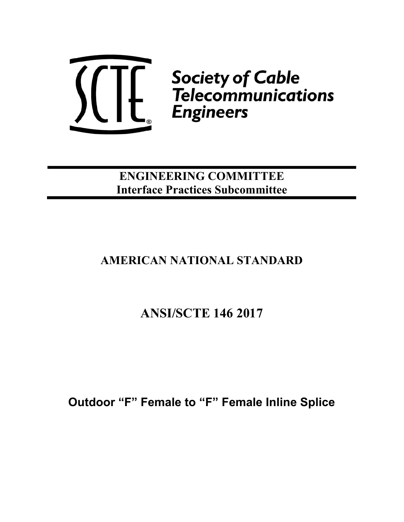

ENGINEERING COMMITTEE Interface Practices Subcommittee

## AMERICAN NATIONAL STANDARD

## ANSI/SCTE 146 2017

Outdoor "F" Female to "F" Female Inline Splice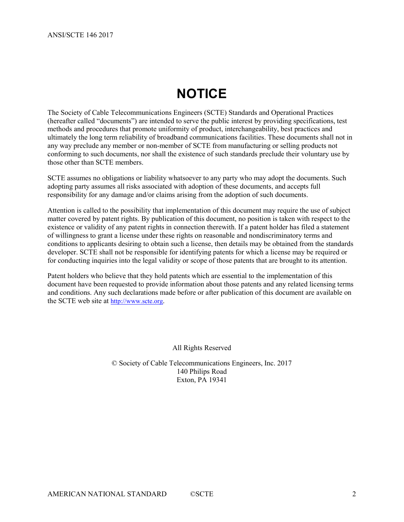# **NOTICE**

The Society of Cable Telecommunications Engineers (SCTE) Standards and Operational Practices (hereafter called "documents") are intended to serve the public interest by providing specifications, test methods and procedures that promote uniformity of product, interchangeability, best practices and ultimately the long term reliability of broadband communications facilities. These documents shall not in any way preclude any member or non-member of SCTE from manufacturing or selling products not conforming to such documents, nor shall the existence of such standards preclude their voluntary use by those other than SCTE members.

SCTE assumes no obligations or liability whatsoever to any party who may adopt the documents. Such adopting party assumes all risks associated with adoption of these documents, and accepts full responsibility for any damage and/or claims arising from the adoption of such documents.

Attention is called to the possibility that implementation of this document may require the use of subject matter covered by patent rights. By publication of this document, no position is taken with respect to the existence or validity of any patent rights in connection therewith. If a patent holder has filed a statement of willingness to grant a license under these rights on reasonable and nondiscriminatory terms and conditions to applicants desiring to obtain such a license, then details may be obtained from the standards developer. SCTE shall not be responsible for identifying patents for which a license may be required or for conducting inquiries into the legal validity or scope of those patents that are brought to its attention.

Patent holders who believe that they hold patents which are essential to the implementation of this document have been requested to provide information about those patents and any related licensing terms and conditions. Any such declarations made before or after publication of this document are available on the SCTE web site at http://www.scte.org.

All Rights Reserved

© Society of Cable Telecommunications Engineers, Inc. 2017 140 Philips Road Exton, PA 19341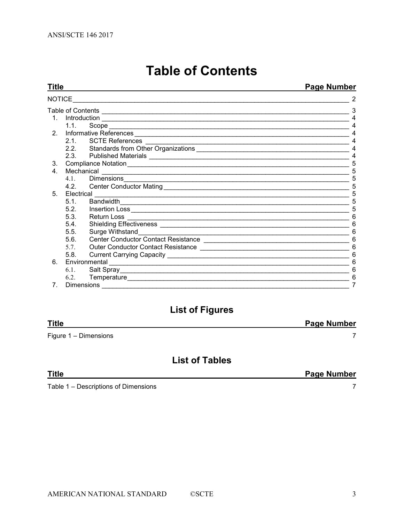**Title** 

# **Table of Contents**

### Page Number

| <b>NOTICE</b>  |               |                                                                                                                                                                                                                                                                                                                                                                                                                                                                      | 2 |
|----------------|---------------|----------------------------------------------------------------------------------------------------------------------------------------------------------------------------------------------------------------------------------------------------------------------------------------------------------------------------------------------------------------------------------------------------------------------------------------------------------------------|---|
|                | 3             |                                                                                                                                                                                                                                                                                                                                                                                                                                                                      |   |
| $1 \quad$      |               |                                                                                                                                                                                                                                                                                                                                                                                                                                                                      |   |
|                | 1.1.          |                                                                                                                                                                                                                                                                                                                                                                                                                                                                      | 4 |
| 2 <sub>1</sub> |               |                                                                                                                                                                                                                                                                                                                                                                                                                                                                      |   |
|                |               | 2.1. SCTE References                                                                                                                                                                                                                                                                                                                                                                                                                                                 |   |
|                |               |                                                                                                                                                                                                                                                                                                                                                                                                                                                                      | 4 |
|                |               |                                                                                                                                                                                                                                                                                                                                                                                                                                                                      | 4 |
| 3.             |               |                                                                                                                                                                                                                                                                                                                                                                                                                                                                      | 5 |
| $4_{-}$        |               | 5                                                                                                                                                                                                                                                                                                                                                                                                                                                                    |   |
|                | 4.1.          | Mechanical Communications and the contract of the contract of the contract of the contract of the contract of the contract of the contract of the contract of the contract of the contract of the contract of the contract of<br>Dimensions <u>Communications</u> and the contract of the contract of the contract of the contract of the contract of the contract of the contract of the contract of the contract of the contract of the contract of the contract o | 5 |
|                |               |                                                                                                                                                                                                                                                                                                                                                                                                                                                                      | 5 |
| $5^{\circ}$    |               | Electrical                                                                                                                                                                                                                                                                                                                                                                                                                                                           | 5 |
|                | 5.1           | Bandwidth                                                                                                                                                                                                                                                                                                                                                                                                                                                            | 5 |
|                | 5.2.          |                                                                                                                                                                                                                                                                                                                                                                                                                                                                      | 5 |
|                | 5.3.          |                                                                                                                                                                                                                                                                                                                                                                                                                                                                      |   |
|                | 5.4.          |                                                                                                                                                                                                                                                                                                                                                                                                                                                                      |   |
|                | 5.5.          |                                                                                                                                                                                                                                                                                                                                                                                                                                                                      | 6 |
|                | 5.6.          |                                                                                                                                                                                                                                                                                                                                                                                                                                                                      | 6 |
|                | 5.7.          |                                                                                                                                                                                                                                                                                                                                                                                                                                                                      | 6 |
|                | 5.8.          |                                                                                                                                                                                                                                                                                                                                                                                                                                                                      |   |
| 6.             | Environmental | 6                                                                                                                                                                                                                                                                                                                                                                                                                                                                    |   |
|                |               |                                                                                                                                                                                                                                                                                                                                                                                                                                                                      |   |
|                | 6.2.          |                                                                                                                                                                                                                                                                                                                                                                                                                                                                      | 6 |
| 7.             |               |                                                                                                                                                                                                                                                                                                                                                                                                                                                                      |   |

## **List of Figures**

| <b>Title</b>          | <b>Page Number</b> |
|-----------------------|--------------------|
| Figure 1 - Dimensions |                    |

## **List of Tables**

| <b>Title</b>                         | <b>Page Number</b> |
|--------------------------------------|--------------------|
| Table 1 – Descriptions of Dimensions |                    |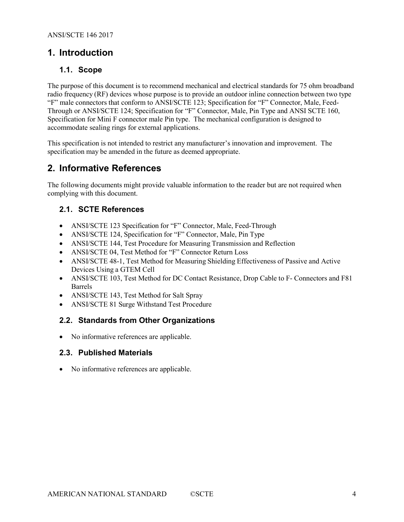## 1. Introduction

#### 1.1. Scope

The purpose of this document is to recommend mechanical and electrical standards for 75 ohm broadband radio frequency (RF) devices whose purpose is to provide an outdoor inline connection between two type "F" male connectors that conform to ANSI/SCTE 123; Specification for "F" Connector, Male, Feed-Through or ANSI/SCTE 124; Specification for "F" Connector, Male, Pin Type and ANSI SCTE 160, Specification for Mini F connector male Pin type. The mechanical configuration is designed to accommodate sealing rings for external applications.

This specification is not intended to restrict any manufacturer's innovation and improvement. The specification may be amended in the future as deemed appropriate.

## 2. Informative References

The following documents might provide valuable information to the reader but are not required when complying with this document.

#### 2.1. SCTE References

- ANSI/SCTE 123 Specification for "F" Connector, Male, Feed-Through
- ANSI/SCTE 124, Specification for "F" Connector, Male, Pin Type
- ANSI/SCTE 144, Test Procedure for Measuring Transmission and Reflection
- ANSI/SCTE 04, Test Method for "F" Connector Return Loss
- ANSI/SCTE 48-1, Test Method for Measuring Shielding Effectiveness of Passive and Active Devices Using a GTEM Cell
- ANSI/SCTE 103, Test Method for DC Contact Resistance, Drop Cable to F- Connectors and F81 Barrels
- ANSI/SCTE 143, Test Method for Salt Spray
- ANSI/SCTE 81 Surge Withstand Test Procedure

#### 2.2. Standards from Other Organizations

No informative references are applicable.

#### 2.3. Published Materials

No informative references are applicable.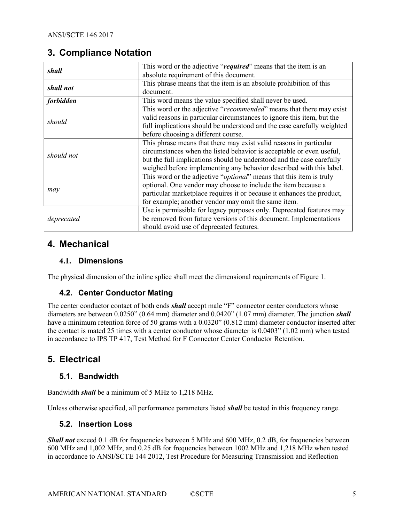## 3. Compliance Notation

| shall      | This word or the adjective "required" means that the item is an        |  |  |  |  |
|------------|------------------------------------------------------------------------|--|--|--|--|
|            | absolute requirement of this document.                                 |  |  |  |  |
|            | This phrase means that the item is an absolute prohibition of this     |  |  |  |  |
| shall not  | document.                                                              |  |  |  |  |
| forbidden  | This word means the value specified shall never be used.               |  |  |  |  |
|            | This word or the adjective "recommended" means that there may exist    |  |  |  |  |
| should     | valid reasons in particular circumstances to ignore this item, but the |  |  |  |  |
|            | full implications should be understood and the case carefully weighted |  |  |  |  |
|            | before choosing a different course.                                    |  |  |  |  |
|            | This phrase means that there may exist valid reasons in particular     |  |  |  |  |
| should not | circumstances when the listed behavior is acceptable or even useful,   |  |  |  |  |
|            | but the full implications should be understood and the case carefully  |  |  |  |  |
|            | weighed before implementing any behavior described with this label.    |  |  |  |  |
|            | This word or the adjective "optional" means that this item is truly    |  |  |  |  |
|            | optional. One vendor may choose to include the item because a          |  |  |  |  |
| may        | particular marketplace requires it or because it enhances the product, |  |  |  |  |
|            | for example; another vendor may omit the same item.                    |  |  |  |  |
|            | Use is permissible for legacy purposes only. Deprecated features may   |  |  |  |  |
| deprecated | be removed from future versions of this document. Implementations      |  |  |  |  |
|            | should avoid use of deprecated features.                               |  |  |  |  |

## 4. Mechanical

## 4.1. Dimensions

The physical dimension of the inline splice shall meet the dimensional requirements of Figure 1.

## 4.2. Center Conductor Mating

The center conductor contact of both ends *shall* accept male "F" connector center conductors whose diameters are between 0.0250" (0.64 mm) diameter and 0.0420" (1.07 mm) diameter. The junction *shall* have a minimum retention force of 50 grams with a 0.0320" (0.812 mm) diameter conductor inserted after the contact is mated 25 times with a center conductor whose diameter is 0.0403" (1.02 mm) when tested in accordance to IPS TP 417, Test Method for F Connector Center Conductor Retention.

## 5. Electrical

## 5.1. Bandwidth

Bandwidth shall be a minimum of 5 MHz to 1,218 MHz.

Unless otherwise specified, all performance parameters listed *shall* be tested in this frequency range.

## 5.2. Insertion Loss

Shall not exceed 0.1 dB for frequencies between 5 MHz and 600 MHz, 0.2 dB, for frequencies between 600 MHz and 1,002 MHz, and 0.25 dB for frequencies between 1002 MHz and 1,218 MHz when tested in accordance to ANSI/SCTE 144 2012, Test Procedure for Measuring Transmission and Reflection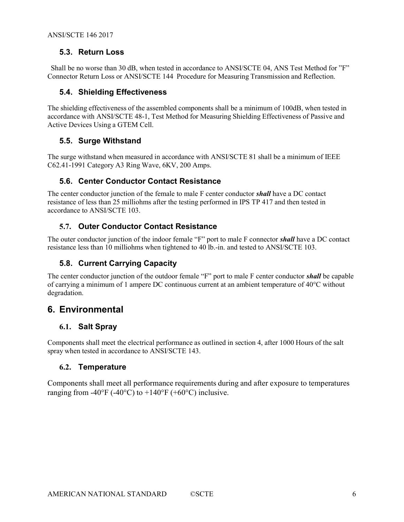### 5.3. Return Loss

 Shall be no worse than 30 dB, when tested in accordance to ANSI/SCTE 04, ANS Test Method for "F" Connector Return Loss or ANSI/SCTE 144 Procedure for Measuring Transmission and Reflection.

### 5.4. Shielding Effectiveness

The shielding effectiveness of the assembled components shall be a minimum of 100dB, when tested in accordance with ANSI/SCTE 48-1, Test Method for Measuring Shielding Effectiveness of Passive and Active Devices Using a GTEM Cell.

#### 5.5. Surge Withstand

The surge withstand when measured in accordance with ANSI/SCTE 81 shall be a minimum of IEEE C62.41-1991 Category A3 Ring Wave, 6KV, 200 Amps.

### 5.6. Center Conductor Contact Resistance

The center conductor junction of the female to male F center conductor **shall** have a DC contact resistance of less than 25 milliohms after the testing performed in IPS TP 417 and then tested in accordance to ANSI/SCTE 103.

### 5.7. Outer Conductor Contact Resistance

The outer conductor junction of the indoor female "F" port to male F connector *shall* have a DC contact resistance less than 10 milliohms when tightened to 40 lb.-in. and tested to ANSI/SCTE 103.

## 5.8. Current Carrying Capacity

The center conductor junction of the outdoor female "F" port to male F center conductor **shall** be capable of carrying a minimum of 1 ampere DC continuous current at an ambient temperature of 40°C without degradation.

## 6. Environmental

#### 6.1. Salt Spray

Components shall meet the electrical performance as outlined in section 4, after 1000 Hours of the salt spray when tested in accordance to ANSI/SCTE 143.

#### 6.2. Temperature

Components shall meet all performance requirements during and after exposure to temperatures ranging from -40°F (-40°C) to +140°F (+60°C) inclusive.